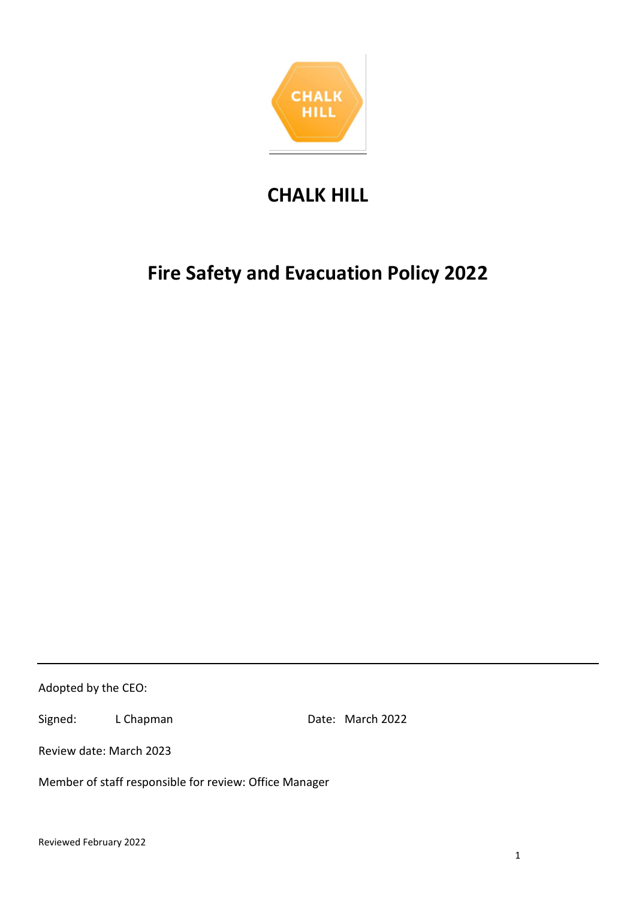

# **CHALK HILL**

# **Fire Safety and Evacuation Policy 2022**

Adopted by the CEO:

Signed: L Chapman Date: March 2022

Review date: March 2023

Member of staff responsible for review: Office Manager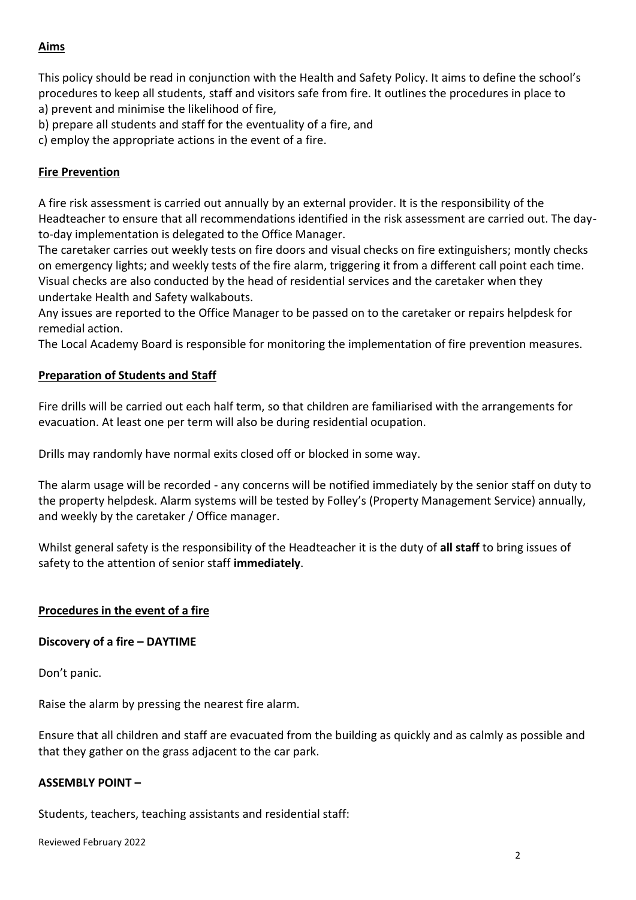# **Aims**

This policy should be read in conjunction with the Health and Safety Policy. It aims to define the school's procedures to keep all students, staff and visitors safe from fire. It outlines the procedures in place to a) prevent and minimise the likelihood of fire,

b) prepare all students and staff for the eventuality of a fire, and

c) employ the appropriate actions in the event of a fire.

# **Fire Prevention**

A fire risk assessment is carried out annually by an external provider. It is the responsibility of the Headteacher to ensure that all recommendations identified in the risk assessment are carried out. The dayto-day implementation is delegated to the Office Manager.

The caretaker carries out weekly tests on fire doors and visual checks on fire extinguishers; montly checks on emergency lights; and weekly tests of the fire alarm, triggering it from a different call point each time. Visual checks are also conducted by the head of residential services and the caretaker when they undertake Health and Safety walkabouts.

Any issues are reported to the Office Manager to be passed on to the caretaker or repairs helpdesk for remedial action.

The Local Academy Board is responsible for monitoring the implementation of fire prevention measures.

# **Preparation of Students and Staff**

Fire drills will be carried out each half term, so that children are familiarised with the arrangements for evacuation. At least one per term will also be during residential ocupation.

Drills may randomly have normal exits closed off or blocked in some way.

The alarm usage will be recorded - any concerns will be notified immediately by the senior staff on duty to the property helpdesk. Alarm systems will be tested by Folley's (Property Management Service) annually, and weekly by the caretaker / Office manager.

Whilst general safety is the responsibility of the Headteacher it is the duty of **all staff** to bring issues of safety to the attention of senior staff **immediately**.

# **Procedures in the event of a fire**

# **Discovery of a fire – DAYTIME**

Don't panic.

Raise the alarm by pressing the nearest fire alarm.

Ensure that all children and staff are evacuated from the building as quickly and as calmly as possible and that they gather on the grass adjacent to the car park.

# **ASSEMBLY POINT –**

Students, teachers, teaching assistants and residential staff:

Reviewed February 2022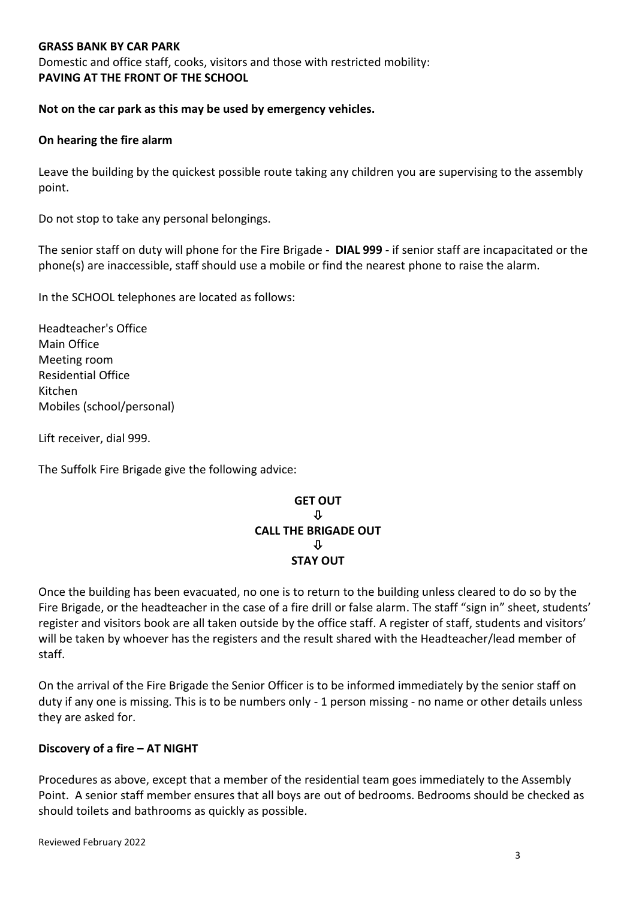#### **GRASS BANK BY CAR PARK**

Domestic and office staff, cooks, visitors and those with restricted mobility: **PAVING AT THE FRONT OF THE SCHOOL**

**Not on the car park as this may be used by emergency vehicles.**

#### **On hearing the fire alarm**

Leave the building by the quickest possible route taking any children you are supervising to the assembly point.

Do not stop to take any personal belongings.

The senior staff on duty will phone for the Fire Brigade - **DIAL 999** - if senior staff are incapacitated or the phone(s) are inaccessible, staff should use a mobile or find the nearest phone to raise the alarm.

In the SCHOOL telephones are located as follows:

Headteacher's Office Main Office Meeting room Residential Office Kitchen Mobiles (school/personal)

Lift receiver, dial 999.

The Suffolk Fire Brigade give the following advice:

## **GET OUT**  $\mathbf n$ **CALL THE BRIGADE OUT** ⇩ **STAY OUT**

Once the building has been evacuated, no one is to return to the building unless cleared to do so by the Fire Brigade, or the headteacher in the case of a fire drill or false alarm. The staff "sign in" sheet, students' register and visitors book are all taken outside by the office staff. A register of staff, students and visitors' will be taken by whoever has the registers and the result shared with the Headteacher/lead member of staff.

On the arrival of the Fire Brigade the Senior Officer is to be informed immediately by the senior staff on duty if any one is missing. This is to be numbers only - 1 person missing - no name or other details unless they are asked for.

#### **Discovery of a fire – AT NIGHT**

Procedures as above, except that a member of the residential team goes immediately to the Assembly Point. A senior staff member ensures that all boys are out of bedrooms. Bedrooms should be checked as should toilets and bathrooms as quickly as possible.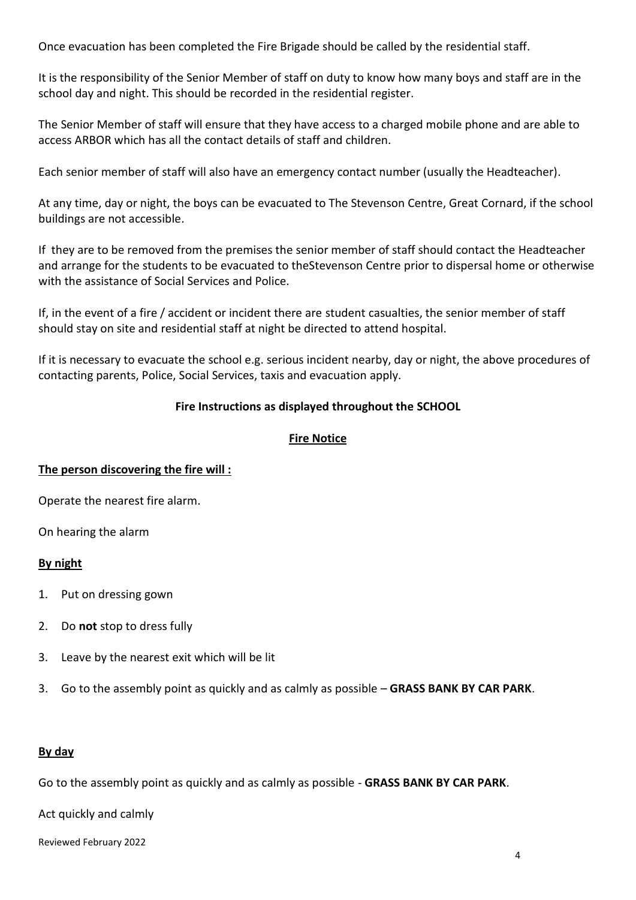Once evacuation has been completed the Fire Brigade should be called by the residential staff.

It is the responsibility of the Senior Member of staff on duty to know how many boys and staff are in the school day and night. This should be recorded in the residential register.

The Senior Member of staff will ensure that they have access to a charged mobile phone and are able to access ARBOR which has all the contact details of staff and children.

Each senior member of staff will also have an emergency contact number (usually the Headteacher).

At any time, day or night, the boys can be evacuated to The Stevenson Centre, Great Cornard, if the school buildings are not accessible.

If they are to be removed from the premises the senior member of staff should contact the Headteacher and arrange for the students to be evacuated to theStevenson Centre prior to dispersal home or otherwise with the assistance of Social Services and Police.

If, in the event of a fire / accident or incident there are student casualties, the senior member of staff should stay on site and residential staff at night be directed to attend hospital.

If it is necessary to evacuate the school e.g. serious incident nearby, day or night, the above procedures of contacting parents, Police, Social Services, taxis and evacuation apply.

# **Fire Instructions as displayed throughout the SCHOOL**

## **Fire Notice**

#### **The person discovering the fire will :**

Operate the nearest fire alarm.

On hearing the alarm

#### **By night**

- 1. Put on dressing gown
- 2. Do **not** stop to dress fully
- 3. Leave by the nearest exit which will be lit
- 3. Go to the assembly point as quickly and as calmly as possible **GRASS BANK BY CAR PARK**.

#### **By day**

Go to the assembly point as quickly and as calmly as possible - **GRASS BANK BY CAR PARK**.

Act quickly and calmly

Reviewed February 2022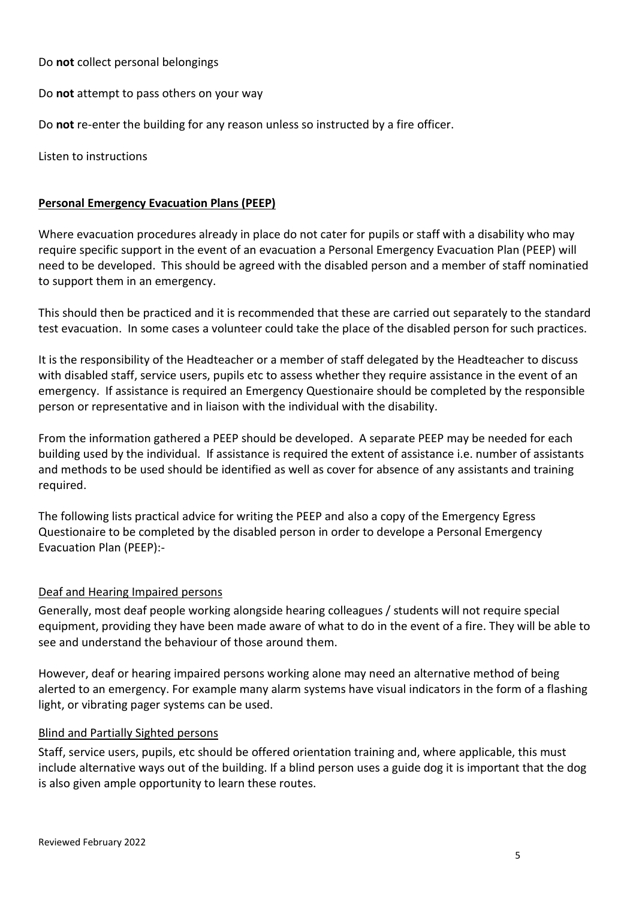Do **not** collect personal belongings

Do **not** attempt to pass others on your way

Do **not** re-enter the building for any reason unless so instructed by a fire officer.

Listen to instructions

# **Personal Emergency Evacuation Plans (PEEP)**

Where evacuation procedures already in place do not cater for pupils or staff with a disability who may require specific support in the event of an evacuation a Personal Emergency Evacuation Plan (PEEP) will need to be developed. This should be agreed with the disabled person and a member of staff nominatied to support them in an emergency.

This should then be practiced and it is recommended that these are carried out separately to the standard test evacuation. In some cases a volunteer could take the place of the disabled person for such practices.

It is the responsibility of the Headteacher or a member of staff delegated by the Headteacher to discuss with disabled staff, service users, pupils etc to assess whether they require assistance in the event of an emergency. If assistance is required an Emergency Questionaire should be completed by the responsible person or representative and in liaison with the individual with the disability.

From the information gathered a PEEP should be developed. A separate PEEP may be needed for each building used by the individual. If assistance is required the extent of assistance i.e. number of assistants and methods to be used should be identified as well as cover for absence of any assistants and training required.

The following lists practical advice for writing the PEEP and also a copy of the Emergency Egress Questionaire to be completed by the disabled person in order to develope a Personal Emergency Evacuation Plan (PEEP):-

# Deaf and Hearing Impaired persons

Generally, most deaf people working alongside hearing colleagues / students will not require special equipment, providing they have been made aware of what to do in the event of a fire. They will be able to see and understand the behaviour of those around them.

However, deaf or hearing impaired persons working alone may need an alternative method of being alerted to an emergency. For example many alarm systems have visual indicators in the form of a flashing light, or vibrating pager systems can be used.

# Blind and Partially Sighted persons

Staff, service users, pupils, etc should be offered orientation training and, where applicable, this must include alternative ways out of the building. If a blind person uses a guide dog it is important that the dog is also given ample opportunity to learn these routes.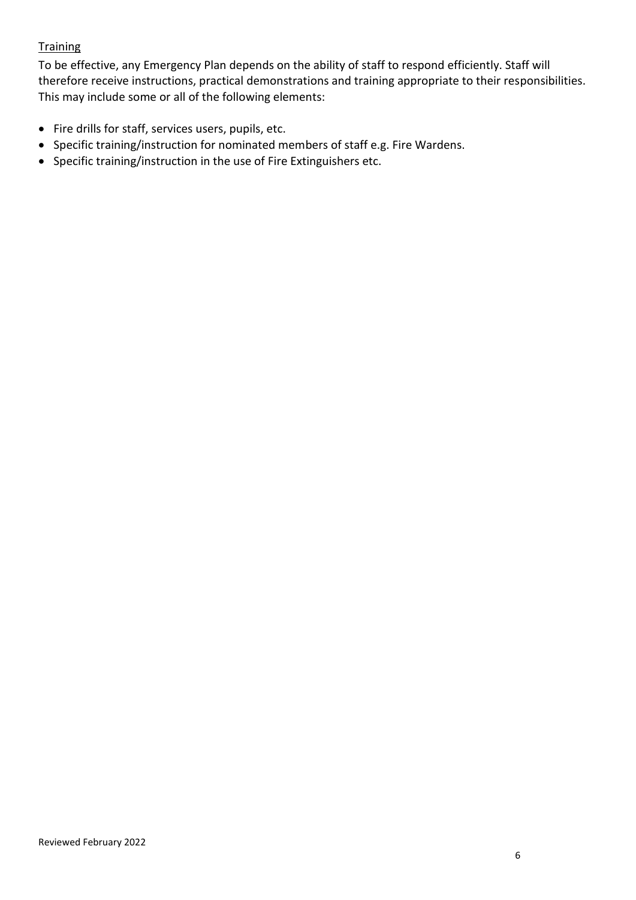# **Training**

To be effective, any Emergency Plan depends on the ability of staff to respond efficiently. Staff will therefore receive instructions, practical demonstrations and training appropriate to their responsibilities. This may include some or all of the following elements:

- Fire drills for staff, services users, pupils, etc.
- Specific training/instruction for nominated members of staff e.g. Fire Wardens.
- Specific training/instruction in the use of Fire Extinguishers etc.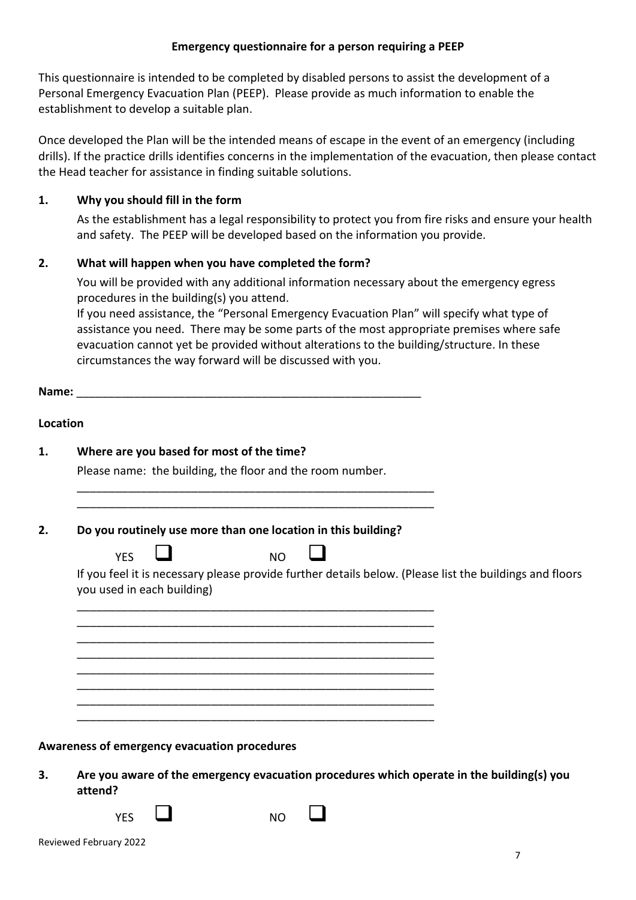## **Emergency questionnaire for a person requiring a PEEP**

This questionnaire is intended to be completed by disabled persons to assist the development of a Personal Emergency Evacuation Plan (PEEP). Please provide as much information to enable the establishment to develop a suitable plan.

Once developed the Plan will be the intended means of escape in the event of an emergency (including drills). If the practice drills identifies concerns in the implementation of the evacuation, then please contact the Head teacher for assistance in finding suitable solutions.

## **1. Why you should fill in the form**

As the establishment has a legal responsibility to protect you from fire risks and ensure your health and safety. The PEEP will be developed based on the information you provide.

## **2. What will happen when you have completed the form?**

You will be provided with any additional information necessary about the emergency egress procedures in the building(s) you attend.

If you need assistance, the "Personal Emergency Evacuation Plan" will specify what type of assistance you need. There may be some parts of the most appropriate premises where safe evacuation cannot yet be provided without alterations to the building/structure. In these circumstances the way forward will be discussed with you.

Name:

#### **Location**

| 1. | Where are you based for most of the time? |  |  |  |
|----|-------------------------------------------|--|--|--|
|----|-------------------------------------------|--|--|--|

Please name: the building, the floor and the room number.

\_\_\_\_\_\_\_\_\_\_\_\_\_\_\_\_\_\_\_\_\_\_\_\_\_\_\_\_\_\_\_\_\_\_\_\_\_\_\_\_\_\_\_\_\_\_\_\_\_\_\_\_\_\_\_\_ \_\_\_\_\_\_\_\_\_\_\_\_\_\_\_\_\_\_\_\_\_\_\_\_\_\_\_\_\_\_\_\_\_\_\_\_\_\_\_\_\_\_\_\_\_\_\_\_\_\_\_\_\_\_\_\_

\_\_\_\_\_\_\_\_\_\_\_\_\_\_\_\_\_\_\_\_\_\_\_\_\_\_\_\_\_\_\_\_\_\_\_\_\_\_\_\_\_\_\_\_\_\_\_\_\_\_\_\_\_\_\_\_ \_\_\_\_\_\_\_\_\_\_\_\_\_\_\_\_\_\_\_\_\_\_\_\_\_\_\_\_\_\_\_\_\_\_\_\_\_\_\_\_\_\_\_\_\_\_\_\_\_\_\_\_\_\_\_\_ \_\_\_\_\_\_\_\_\_\_\_\_\_\_\_\_\_\_\_\_\_\_\_\_\_\_\_\_\_\_\_\_\_\_\_\_\_\_\_\_\_\_\_\_\_\_\_\_\_\_\_\_\_\_\_\_ \_\_\_\_\_\_\_\_\_\_\_\_\_\_\_\_\_\_\_\_\_\_\_\_\_\_\_\_\_\_\_\_\_\_\_\_\_\_\_\_\_\_\_\_\_\_\_\_\_\_\_\_\_\_\_\_ \_\_\_\_\_\_\_\_\_\_\_\_\_\_\_\_\_\_\_\_\_\_\_\_\_\_\_\_\_\_\_\_\_\_\_\_\_\_\_\_\_\_\_\_\_\_\_\_\_\_\_\_\_\_\_\_ \_\_\_\_\_\_\_\_\_\_\_\_\_\_\_\_\_\_\_\_\_\_\_\_\_\_\_\_\_\_\_\_\_\_\_\_\_\_\_\_\_\_\_\_\_\_\_\_\_\_\_\_\_\_\_\_ \_\_\_\_\_\_\_\_\_\_\_\_\_\_\_\_\_\_\_\_\_\_\_\_\_\_\_\_\_\_\_\_\_\_\_\_\_\_\_\_\_\_\_\_\_\_\_\_\_\_\_\_\_\_\_\_ \_\_\_\_\_\_\_\_\_\_\_\_\_\_\_\_\_\_\_\_\_\_\_\_\_\_\_\_\_\_\_\_\_\_\_\_\_\_\_\_\_\_\_\_\_\_\_\_\_\_\_\_\_\_\_\_

#### **2. Do you routinely use more than one location in this building?**

| <b>YES</b> | N <sub>O</sub> |  |
|------------|----------------|--|
|            |                |  |

If you feel it is necessary please provide further details below. (Please list the buildings and floors you used in each building)

**Awareness of emergency evacuation procedures**

**3. Are you aware of the emergency evacuation procedures which operate in the building(s) you attend?**

 $YES$  NO  $\Box$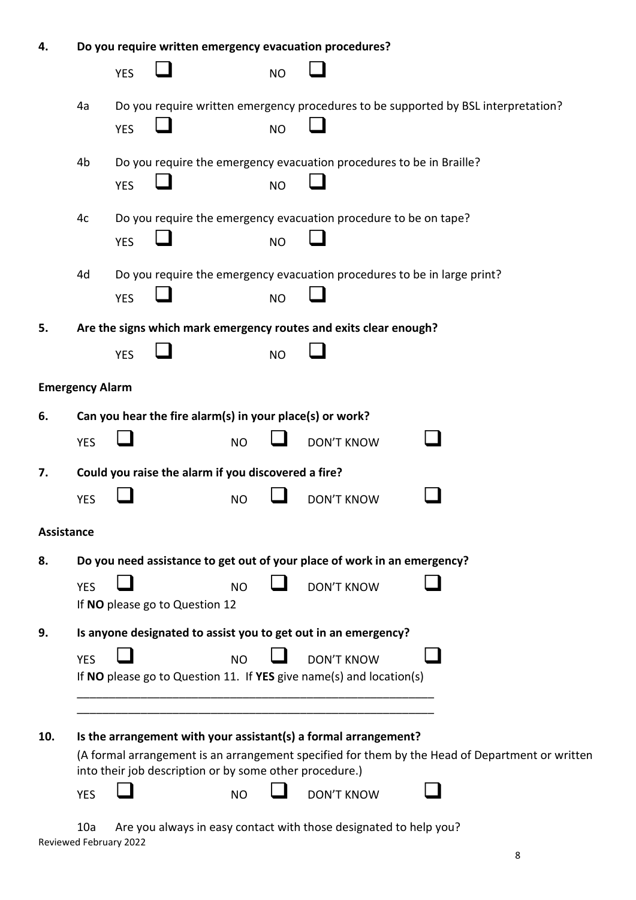| 4.         |                        |            |                                                          |           |           | Do you require written emergency evacuation procedures?                                  |                                                                                                 |
|------------|------------------------|------------|----------------------------------------------------------|-----------|-----------|------------------------------------------------------------------------------------------|-------------------------------------------------------------------------------------------------|
|            |                        | <b>YES</b> |                                                          |           | <b>NO</b> |                                                                                          |                                                                                                 |
|            | 4a                     |            |                                                          |           |           |                                                                                          | Do you require written emergency procedures to be supported by BSL interpretation?              |
|            |                        | <b>YES</b> |                                                          |           | <b>NO</b> |                                                                                          |                                                                                                 |
|            | 4b                     |            |                                                          |           |           | Do you require the emergency evacuation procedures to be in Braille?                     |                                                                                                 |
|            |                        | <b>YES</b> |                                                          |           | <b>NO</b> |                                                                                          |                                                                                                 |
|            | 4c                     |            |                                                          |           |           | Do you require the emergency evacuation procedure to be on tape?                         |                                                                                                 |
|            |                        | <b>YES</b> |                                                          |           | <b>NO</b> |                                                                                          |                                                                                                 |
|            | 4d                     |            |                                                          |           |           | Do you require the emergency evacuation procedures to be in large print?                 |                                                                                                 |
|            |                        | <b>YES</b> |                                                          |           | <b>NO</b> |                                                                                          |                                                                                                 |
| 5.         |                        |            |                                                          |           |           | Are the signs which mark emergency routes and exits clear enough?                        |                                                                                                 |
|            |                        | <b>YES</b> |                                                          |           | <b>NO</b> |                                                                                          |                                                                                                 |
|            | <b>Emergency Alarm</b> |            |                                                          |           |           |                                                                                          |                                                                                                 |
| 6.         |                        |            | Can you hear the fire alarm(s) in your place(s) or work? |           |           |                                                                                          |                                                                                                 |
|            | <b>YES</b>             |            |                                                          | <b>NO</b> |           | <b>DON'T KNOW</b>                                                                        |                                                                                                 |
| 7.         |                        |            | Could you raise the alarm if you discovered a fire?      |           |           |                                                                                          |                                                                                                 |
|            | <b>YES</b>             |            |                                                          | <b>NO</b> |           | <b>DON'T KNOW</b>                                                                        |                                                                                                 |
| Assistance |                        |            |                                                          |           |           |                                                                                          |                                                                                                 |
| 8.         |                        |            |                                                          |           |           | Do you need assistance to get out of your place of work in an emergency?                 |                                                                                                 |
|            | <b>YES</b>             |            | If NO please go to Question 12                           | <b>NO</b> |           | <b>DON'T KNOW</b>                                                                        |                                                                                                 |
| 9.         |                        |            |                                                          |           |           | Is anyone designated to assist you to get out in an emergency?                           |                                                                                                 |
|            |                        |            |                                                          |           |           |                                                                                          |                                                                                                 |
|            | <b>YES</b>             |            |                                                          | <b>NO</b> |           | <b>DON'T KNOW</b><br>If NO please go to Question 11. If YES give name(s) and location(s) |                                                                                                 |
|            |                        |            |                                                          |           |           |                                                                                          |                                                                                                 |
|            |                        |            |                                                          |           |           |                                                                                          |                                                                                                 |
| 10.        |                        |            |                                                          |           |           | Is the arrangement with your assistant(s) a formal arrangement?                          |                                                                                                 |
|            |                        |            | into their job description or by some other procedure.)  |           |           |                                                                                          | (A formal arrangement is an arrangement specified for them by the Head of Department or written |
|            | <b>YES</b>             |            |                                                          | <b>NO</b> |           | <b>DON'T KNOW</b>                                                                        |                                                                                                 |
|            |                        |            |                                                          |           |           |                                                                                          |                                                                                                 |

Reviewed February 2022 10a Are you always in easy contact with those designated to help you?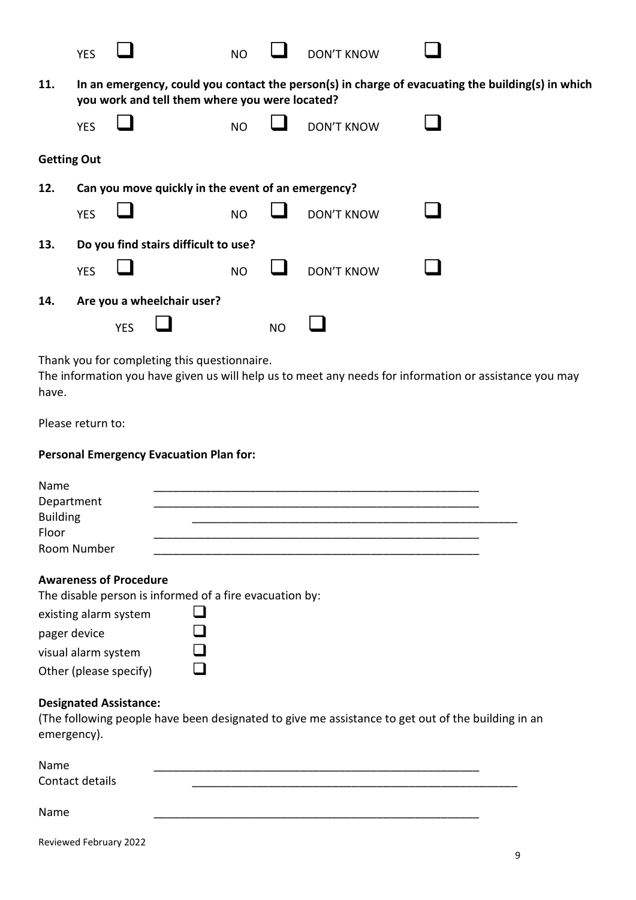|                    | <b>YES</b> |            |                                                    | <b>NO</b> |           | <b>DON'T KNOW</b> |                                                                                                        |
|--------------------|------------|------------|----------------------------------------------------|-----------|-----------|-------------------|--------------------------------------------------------------------------------------------------------|
| 11.                |            |            | you work and tell them where you were located?     |           |           |                   | In an emergency, could you contact the person(s) in charge of evacuating the building(s) in which      |
|                    | <b>YES</b> |            |                                                    | <b>NO</b> |           | <b>DON'T KNOW</b> |                                                                                                        |
| <b>Getting Out</b> |            |            |                                                    |           |           |                   |                                                                                                        |
| 12.                |            |            | Can you move quickly in the event of an emergency? |           |           |                   |                                                                                                        |
|                    | <b>YES</b> |            |                                                    | <b>NO</b> |           | <b>DON'T KNOW</b> |                                                                                                        |
| 13.                |            |            | Do you find stairs difficult to use?               |           |           |                   |                                                                                                        |
|                    | <b>YES</b> |            |                                                    | <b>NO</b> |           | <b>DON'T KNOW</b> |                                                                                                        |
| 14.                |            |            | Are you a wheelchair user?                         |           |           |                   |                                                                                                        |
|                    |            | <b>YES</b> |                                                    |           | <b>NO</b> |                   |                                                                                                        |
| have.              |            |            | Thank you for completing this questionnaire.       |           |           |                   | The information you have given us will help us to meet any needs for information or assistance you may |

Please return to:

#### **Personal Emergency Evacuation Plan for:**

| Name            |  |  |  |
|-----------------|--|--|--|
| Department      |  |  |  |
| <b>Building</b> |  |  |  |
| Floor           |  |  |  |
| Room Number     |  |  |  |

## **Awareness of Procedure**

The disable person is informed of a fire evacuation by:

| existing alarm system  | I I |
|------------------------|-----|
| pager device           | ப   |
| visual alarm system    | ப   |
| Other (please specify) | ш   |

## **Designated Assistance:**

(The following people have been designated to give me assistance to get out of the building in an emergency).

| Name<br>Contact details |  |  |  |
|-------------------------|--|--|--|
| Name                    |  |  |  |

Reviewed February 2022